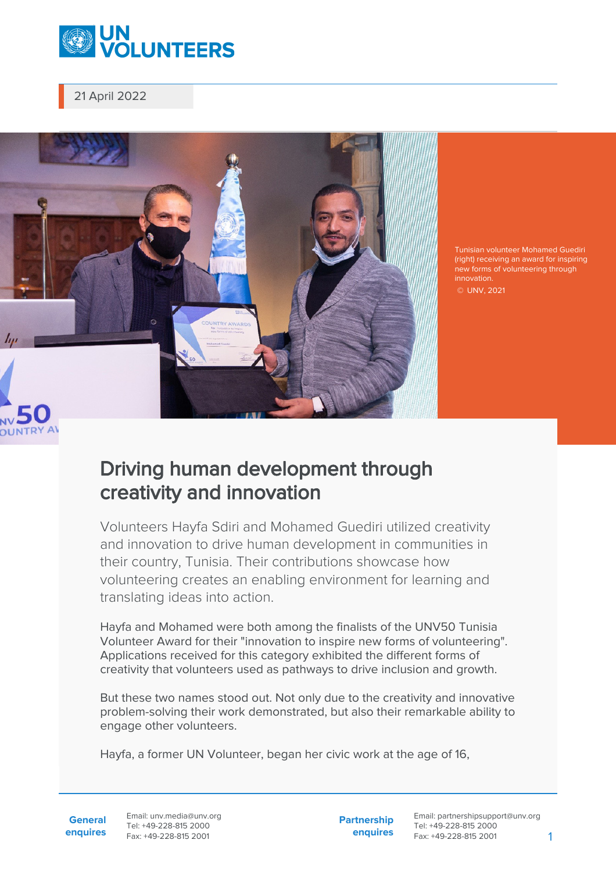

21 April 2022



Tunisian volunteer Mohamed Guediri (right) receiving an award for inspiring new forms of volunteering through innovation.

© UNV, 2021

## Driving human development through creativity and innovation

Volunteers Hayfa Sdiri and Mohamed Guediri utilized creativity and innovation to drive human development in communities in their country, Tunisia. Their contributions showcase how volunteering creates an enabling environment for learning and translating ideas into action.

Hayfa and Mohamed were both among the finalists of the UNV50 Tunisia Volunteer Award for their "innovation to inspire new forms of volunteering". Applications received for this category exhibited the different forms of creativity that volunteers used as pathways to drive inclusion and growth.

But these two names stood out. Not only due to the creativity and innovative problem-solving their work demonstrated, but also their remarkable ability to engage other volunteers.

Hayfa, a former UN Volunteer, began her civic work at the age of 16,

**General enquires** Email: unv.media@unv.org Tel: +49-228-815 2000 Fax: +49-228-815 2001

**Partnership enquires**

Email: partnershipsupport@unv.org Tel: +49-228-815 2000 Fax: +49-228-815 2001 1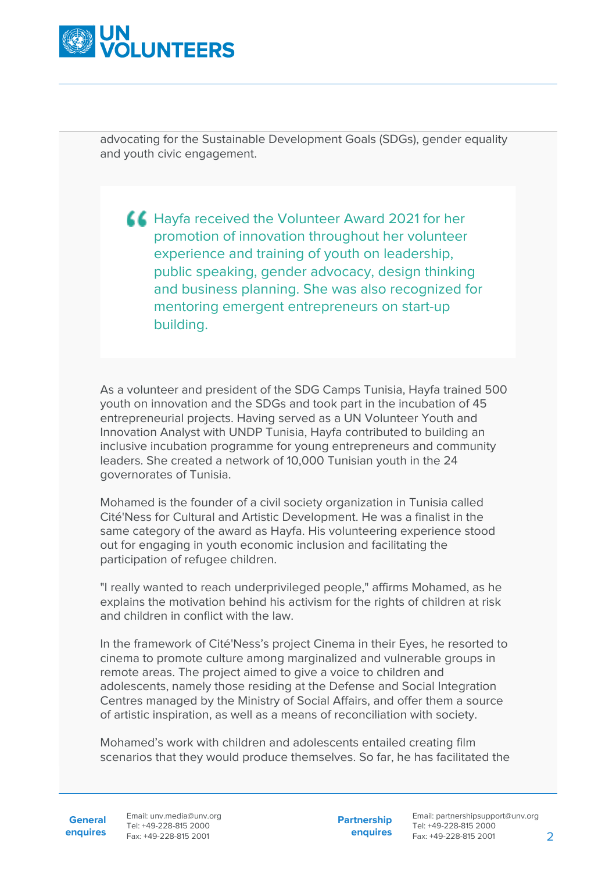

advocating for the Sustainable Development Goals (SDGs), gender equality and youth civic engagement.

**K** Hayfa received the Volunteer Award 2021 for her promotion of innovation throughout her volunteer experience and training of youth on leadership, public speaking, gender advocacy, design thinking and business planning. She was also recognized for mentoring emergent entrepreneurs on start-up building.

As a volunteer and president of the SDG Camps Tunisia, Hayfa trained 500 youth on innovation and the SDGs and took part in the incubation of 45 entrepreneurial projects. Having served as a UN Volunteer Youth and Innovation Analyst with UNDP Tunisia, Hayfa contributed to building an inclusive incubation programme for young entrepreneurs and community leaders. She created a network of 10,000 Tunisian youth in the 24 governorates of Tunisia.

Mohamed is the founder of a civil society organization in Tunisia called Cité'Ness for Cultural and Artistic Development. He was a finalist in the same category of the award as Hayfa. His volunteering experience stood out for engaging in youth economic inclusion and facilitating the participation of refugee children.

"I really wanted to reach underprivileged people," affirms Mohamed, as he explains the motivation behind his activism for the rights of children at risk and children in conflict with the law.

In the framework of Cité'Ness's project Cinema in their Eyes, he resorted to cinema to promote culture among marginalized and vulnerable groups in remote areas. The project aimed to give a voice to children and adolescents, namely those residing at the Defense and Social Integration Centres managed by the Ministry of Social Affairs, and offer them a source of artistic inspiration, as well as a means of reconciliation with society.

Mohamed's work with children and adolescents entailed creating film scenarios that they would produce themselves. So far, he has facilitated the

**General**

**enquires** Tel: +49-228-815 2000 Fax: +49-228-815 2001 Email: unv.media@unv.org<br>Tel: +49-228-815.2000

**Partnership enquires**

Email: partnershipsupport@unv.org Tel: +49-228-815 2000 Fax: +49-228-815 2001 2